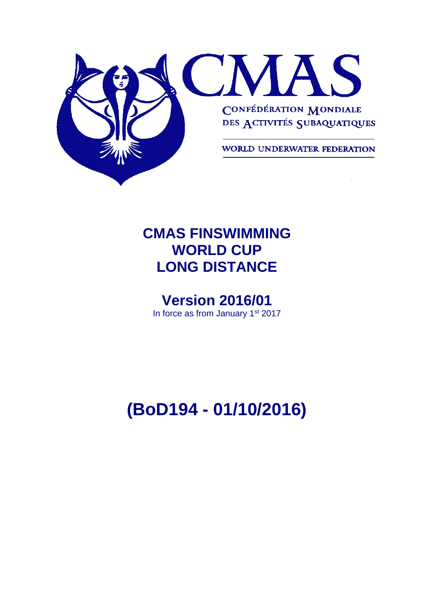

# **CMAS FINSWIMMING WORLD CUP LONG DISTANCE**

# **Version 2016/01**

In force as from January 1<sup>st</sup> 2017

# **(BoD194 - 01/10/2016)**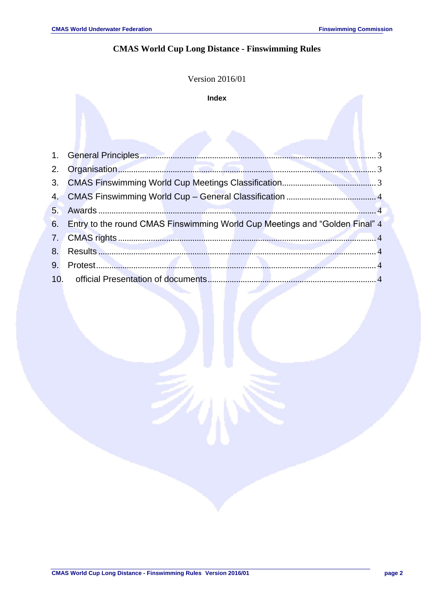## **CMAS World Cup Long Distance - Finswimming Rules**

|     | Version 2016/01                                                             |               |  |  |  |  |  |  |
|-----|-----------------------------------------------------------------------------|---------------|--|--|--|--|--|--|
|     | <b>Index</b>                                                                |               |  |  |  |  |  |  |
|     |                                                                             |               |  |  |  |  |  |  |
| 1.  | <b>General Principles.</b>                                                  |               |  |  |  |  |  |  |
| 2.  | Organisation.                                                               | $\mathcal{R}$ |  |  |  |  |  |  |
| 3.  |                                                                             |               |  |  |  |  |  |  |
| 4.  |                                                                             |               |  |  |  |  |  |  |
| 5.  | Awards                                                                      |               |  |  |  |  |  |  |
| 6.  | Entry to the round CMAS Finswimming World Cup Meetings and "Golden Final" 4 |               |  |  |  |  |  |  |
| 7.  |                                                                             |               |  |  |  |  |  |  |
| 8.  |                                                                             |               |  |  |  |  |  |  |
| 9.  |                                                                             |               |  |  |  |  |  |  |
| 10. | official Presentation of documents                                          |               |  |  |  |  |  |  |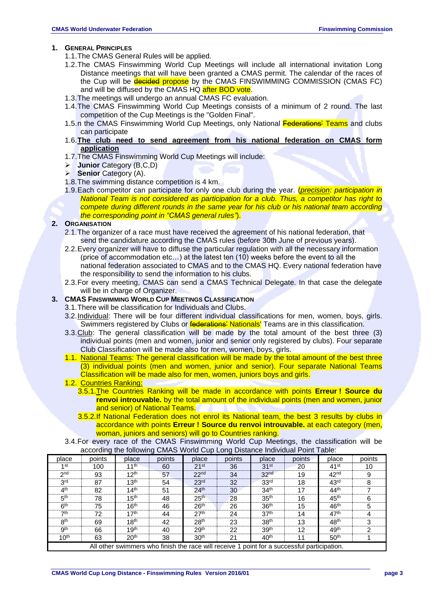#### <span id="page-2-0"></span>**1. GENERAL PRINCIPLES**

- 1.1.The CMAS General Rules will be applied.
- 1.2.The CMAS Finswimming World Cup Meetings will include all international invitation Long Distance meetings that will have been granted a CMAS permit. The calendar of the races of the Cup will be decided propose by the CMAS FINSWIMMING COMMISSION (CMAS FC) and will be diffused by the CMAS HQ after BOD vote.
- 1.3.The meetings will undergo an annual CMAS FC evaluation.
- 1.4.The CMAS Finswimming World Cup Meetings consists of a minimum of 2 round. The last competition of the Cup Meetings is the "Golden Final".
- 1.5.n the CMAS Finswimming World Cup Meetings, only National Federations' Teams and clubs can participate
- 1.6.**The club need to send agreement from his national federation on CMAS form application**
- 1.7.The CMAS Finswimming World Cup Meetings will include:
- **Junior** Category (B,C,D)
- **Senior** Category (A).
- 1.8.The swimming distance competition is 4 km.
- 1.9.Each competitor can participate for only one club during the year. (*precision: participation in National Team is not considered as participation for a club. Thus, a competitor has right to compete during different rounds in the same year for his club or his national team according the corresponding point in "CMAS general rules"*).

#### <span id="page-2-1"></span>**2. ORGANISATION**

- 2.1.The organizer of a race must have received the agreement of his national federation, that send the candidature according the CMAS rules (before 30th June of previous years).
- 2.2.Every organizer will have to diffuse the particular regulation with all the necessary information (price of accommodation etc…) at the latest ten (10) weeks before the event to all the national federation associated to CMAS and to the CMAS HQ. Every national federation have the responsibility to send the information to his clubs.
- 2.3.For every meeting, CMAS can send a CMAS Technical Delegate. In that case the delegate will be in charge of Organizer.

#### <span id="page-2-2"></span>**3. CMAS FINSWIMMING WORLD CUP MEETINGS CLASSIFICATION**

- 3.1.There will be classification for Individuals and Clubs.
- 3.2.Individual: There will be four different individual classifications for men, women, boys, girls. Swimmers registered by Clubs or **federations' Nationals'** Teams are in this classification.
- 3.3.Club: The general classification will be made by the total amount of the best three (3) individual points (men and women, junior and senior only registered by clubs). Four separate Club Classification will be made also for men, women, boys, girls.
- 1.1. National Teams: The general classification will be made by the total amount of the best three (3) individual points (men and women, junior and senior). Four separate National Teams Classification will be made also for men, women, juniors boys and girls.

#### 1.2. Countries Ranking:

- 3.5.1.The Countries Ranking will be made in accordance with points **Erreur ! Source du renvoi introuvable.** by the total amount of the individual points (men and women, junior and senior) of National Teams.
- 3.5.2.If National Federation does not enrol its National team, the best 3 results by clubs in accordance with points **Erreur ! Source du renvoi introuvable.** at each category (men, woman, juniors and seniors) will go to Countries ranking.
- 3.4.For every race of the CMAS Finswimming World Cup Meetings, the classification will be according the following CMAS World Cup Long Distance Individual Point Table:

| place                                                                                       | points | place            | points | place              | points | place            | points | place              | points |
|---------------------------------------------------------------------------------------------|--------|------------------|--------|--------------------|--------|------------------|--------|--------------------|--------|
| 1st                                                                                         | 100    | 11 <sup>th</sup> | 60     | $21$ <sup>st</sup> | 36     | 31 <sup>st</sup> | 20     | $41$ <sup>st</sup> | 10     |
| 2 <sub>nd</sub>                                                                             | 93     | 12 <sup>th</sup> | 57     | 22 <sub>nd</sub>   | 34     | 32 <sup>nd</sup> | 19     | 42 <sup>nd</sup>   | 9      |
| 3 <sup>rd</sup>                                                                             | 87     | 13 <sup>th</sup> | 54     | 23 <sup>rd</sup>   | 32     | 33 <sup>rd</sup> | 18     | 43 <sup>rd</sup>   | 8      |
| 4 <sup>th</sup>                                                                             | 82     | 14 <sup>th</sup> | 51     | 24 <sup>th</sup>   | 30     | 34 <sup>th</sup> | 17     | 44 <sup>th</sup>   |        |
| 5 <sup>th</sup>                                                                             | 78     | 15 <sup>th</sup> | 48     | 25 <sup>th</sup>   | 28     | 35 <sup>th</sup> | 16     | 45 <sup>th</sup>   | 6      |
| 6 <sup>th</sup>                                                                             | 75     | 16 <sup>th</sup> | 46     | 26 <sup>th</sup>   | 26     | 36 <sup>th</sup> | 15     | 46 <sup>th</sup>   | 5      |
| 7th                                                                                         | 72     | 17 <sup>th</sup> | 44     | 27 <sup>th</sup>   | 24     | 37 <sup>th</sup> | 14     | 47 <sup>th</sup>   | 4      |
| 8 <sup>th</sup>                                                                             | 69     | 18 <sup>th</sup> | 42     | 28 <sup>th</sup>   | 23     | 38 <sup>th</sup> | 13     | 48 <sup>th</sup>   | 3      |
| gth                                                                                         | 66     | 19 <sup>th</sup> | 40     | 29 <sup>th</sup>   | 22     | 39 <sup>th</sup> | 12     | 49 <sup>th</sup>   | ົ      |
| 10 <sup>th</sup>                                                                            | 63     | 20 <sup>th</sup> | 38     | 30 <sup>th</sup>   | 21     | 40 <sup>th</sup> | 11     | 50 <sup>th</sup>   |        |
| All other swimmers who finish the race will receive 1 point for a successful participation. |        |                  |        |                    |        |                  |        |                    |        |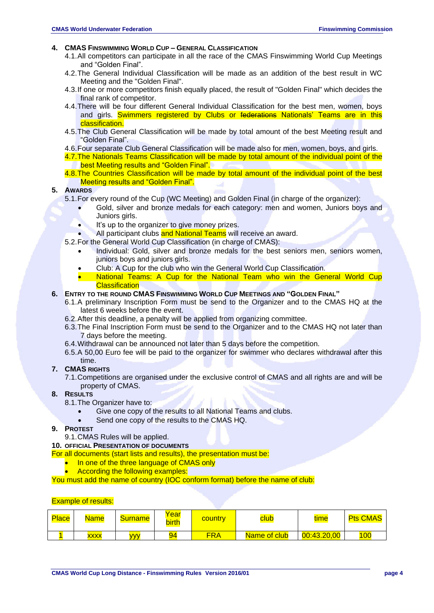#### <span id="page-3-0"></span>**4. CMAS FINSWIMMING WORLD CUP – GENERAL CLASSIFICATION**

- 4.1.All competitors can participate in all the race of the CMAS Finswimming World Cup Meetings and "Golden Final".
- 4.2.The General Individual Classification will be made as an addition of the best result in WC Meeting and the "Golden Final".
- 4.3.If one or more competitors finish equally placed, the result of "Golden Final" which decides the final rank of competitor.
- 4.4.There will be four different General Individual Classification for the best men, women, boys and girls. Swimmers registered by Clubs or federations Nationals' Teams are in this classification.
- 4.5.The Club General Classification will be made by total amount of the best Meeting result and "Golden Final".
- 4.6.Four separate Club General Classification will be made also for men, women, boys, and girls.
- 4.7.The Nationals Teams Classification will be made by total amount of the individual point of the best Meeting results and "Golden Final".
- 4.8. The Countries Classification will be made by total amount of the individual point of the best Meeting results and "Golden Final".

#### <span id="page-3-1"></span>**5. AWARDS**

- 5.1.For every round of the Cup (WC Meeting) and Golden Final (in charge of the organizer):
	- Gold, silver and bronze medals for each category: men and women, Juniors boys and Juniors girls.
	- It's up to the organizer to give money prizes.
	- All participant clubs and National Teams will receive an award.
- 5.2.For the General World Cup Classification (in charge of CMAS):
	- Individual: Gold, silver and bronze medals for the best seniors men, seniors women, juniors boys and juniors girls.
	- Club: A Cup for the club who win the General World Cup Classification.
	- National Teams: A Cup for the National Team who win the General World Cup **Classification**
- <span id="page-3-2"></span>**6. ENTRY TO THE ROUND CMAS FINSWIMMING WORLD CUP MEETINGS AND "GOLDEN FINAL"**
	- 6.1.A preliminary Inscription Form must be send to the Organizer and to the CMAS HQ at the latest 6 weeks before the event.
	- 6.2.After this deadline, a penalty will be applied from organizing committee.
	- 6.3.The Final Inscription Form must be send to the Organizer and to the CMAS HQ not later than 7 days before the meeting.
	- 6.4.Withdrawal can be announced not later than 5 days before the competition.
	- 6.5.A 50,00 Euro fee will be paid to the organizer for swimmer who declares withdrawal after this time.

#### <span id="page-3-3"></span>**7. CMAS RIGHTS**

7.1.Competitions are organised under the exclusive control of CMAS and all rights are and will be property of CMAS.

#### <span id="page-3-4"></span>**8. RESULTS**

- 8.1.The Organizer have to:
	- Give one copy of the results to all National Teams and clubs.
	- Send one copy of the results to the CMAS HQ.
- <span id="page-3-5"></span>**9. PROTEST**
	- 9.1.CMAS Rules will be applied.

#### <span id="page-3-6"></span>**10. OFFICIAL PRESENTATION OF DOCUMENTS**

- For all documents (start lists and results), the presentation must be:
	- In one of the three language of CMAS only
	- According the following examples:

You must add the name of country (IOC conform format) before the name of club:

#### Example of results:

| <b>Place</b> | <b>Name</b> | <b>Surname</b> | Year<br>birth | country    | club         | time        | <b>Pts CMAS</b> |
|--------------|-------------|----------------|---------------|------------|--------------|-------------|-----------------|
|              | xxxx        | <b>WV</b>      | 94            | <b>FRA</b> | Name of club | 00:43.20,00 | 100             |